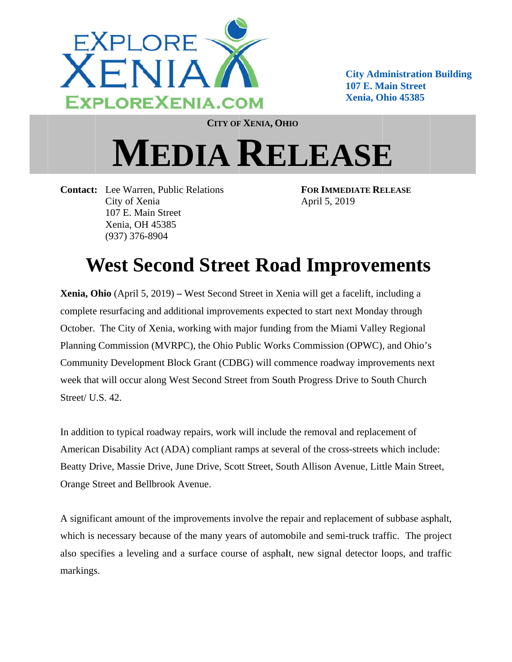

**City Administration Building 107 E. Main Street Xenia, Ohio 45385** 

**CITY OF XENIA, OHIO** 

## **MEDIA RELEASE**

**Contact:** Lee Warren, Public Relations City of Xenia 107 E. Main Street Xenia, OH 45385  $(937)$  376-8904

**FOR IMMEDIATE RELEASE** April 5, 2019

## **West Second Street Road Improvements**

Xenia, Ohio (April 5, 2019) – West Second Street in Xenia will get a facelift, including a complete resurfacing and additional improvements expected to start next Monday through October. The City of Xenia, working with major funding from the Miami Valley Regional Planning Commission (MVRPC), the Ohio Public Works Commission (OPWC), and Ohio's Community Development Block Grant (CDBG) will commence roadway improvements next week that will occur along West Second Street from South Progress Drive to South Church Street/ U.S. 42

In addition to typical roadway repairs, work will include the removal and replacement of American Disability Act (ADA) compliant ramps at several of the cross-streets which include: Beatty Drive, Massie Drive, June Drive, Scott Street, South Allison Avenue, Little Main Street, Orange Street and Bellbrook Avenue.

A significant amount of the improvements involve the repair and replacement of subbase asphalt, which is necessary because of the many years of automobile and semi-truck traffic. The project also specifies a leveling and a surface course of asphalt, new signal detector loops, and traffic markings.